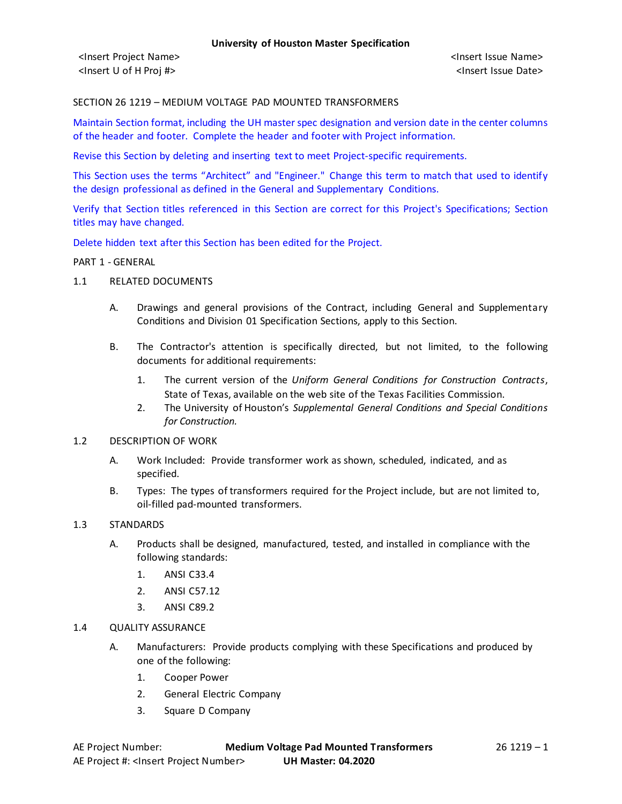## SECTION 26 1219 – MEDIUM VOLTAGE PAD MOUNTED TRANSFORMERS

Maintain Section format, including the UH master spec designation and version date in the center columns of the header and footer. Complete the header and footer with Project information.

Revise this Section by deleting and inserting text to meet Project-specific requirements.

This Section uses the terms "Architect" and "Engineer." Change this term to match that used to identify the design professional as defined in the General and Supplementary Conditions.

Verify that Section titles referenced in this Section are correct for this Project's Specifications; Section titles may have changed.

Delete hidden text after this Section has been edited for the Project.

#### PART 1 - GENERAL

- 1.1 RELATED DOCUMENTS
	- A. Drawings and general provisions of the Contract, including General and Supplementary Conditions and Division 01 Specification Sections, apply to this Section.
	- B. The Contractor's attention is specifically directed, but not limited, to the following documents for additional requirements:
		- 1. The current version of the *Uniform General Conditions for Construction Contracts*, State of Texas, available on the web site of the Texas Facilities Commission.
		- 2. The University of Houston's *Supplemental General Conditions and Special Conditions for Construction.*

## 1.2 DESCRIPTION OF WORK

- A. Work Included: Provide transformer work as shown, scheduled, indicated, and as specified.
- B. Types: The types of transformers required for the Project include, but are not limited to, oil-filled pad-mounted transformers.

# 1.3 STANDARDS

- A. Products shall be designed, manufactured, tested, and installed in compliance with the following standards:
	- 1. ANSI C33.4
	- 2. ANSI C57.12
	- 3. ANSI C89.2
- 1.4 QUALITY ASSURANCE
	- A. Manufacturers: Provide products complying with these Specifications and produced by one of the following:
		- 1. Cooper Power
		- 2. General Electric Company
		- 3. Square D Company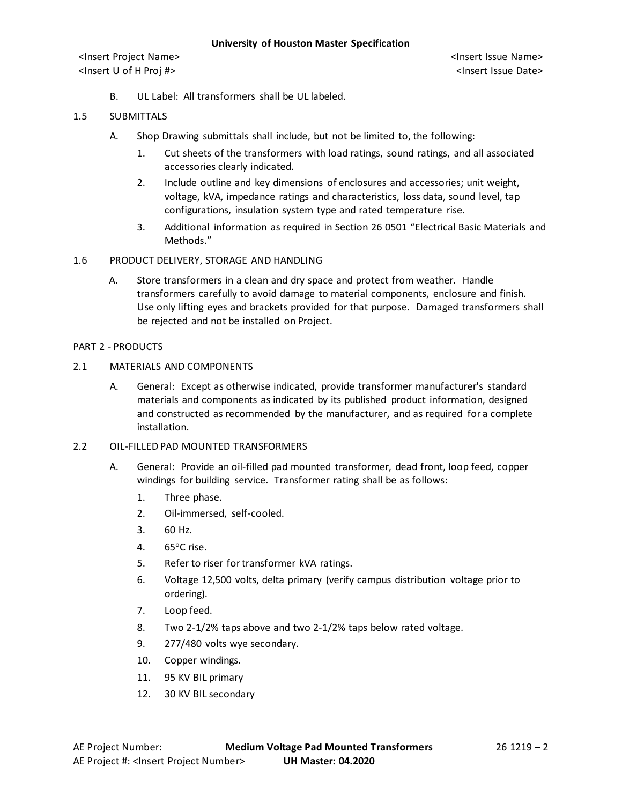<Insert Project Name> <Insert Issue Name> <Insert U of H Proj #> <Insert Issue Date>

B. UL Label: All transformers shall be UL labeled.

## 1.5 SUBMITTALS

- A. Shop Drawing submittals shall include, but not be limited to, the following:
	- 1. Cut sheets of the transformers with load ratings, sound ratings, and all associated accessories clearly indicated.
	- 2. Include outline and key dimensions of enclosures and accessories; unit weight, voltage, kVA, impedance ratings and characteristics, loss data, sound level, tap configurations, insulation system type and rated temperature rise.
	- 3. Additional information as required in Section 26 0501 "Electrical Basic Materials and Methods."
- 1.6 PRODUCT DELIVERY, STORAGE AND HANDLING
	- A. Store transformers in a clean and dry space and protect from weather. Handle transformers carefully to avoid damage to material components, enclosure and finish. Use only lifting eyes and brackets provided for that purpose. Damaged transformers shall be rejected and not be installed on Project.

# PART 2 - PRODUCTS

- 2.1 MATERIALS AND COMPONENTS
	- A. General: Except as otherwise indicated, provide transformer manufacturer's standard materials and components as indicated by its published product information, designed and constructed as recommended by the manufacturer, and as required for a complete installation.
- 2.2 OIL-FILLED PAD MOUNTED TRANSFORMERS
	- A. General: Provide an oil-filled pad mounted transformer, dead front, loop feed, copper windings for building service. Transformer rating shall be as follows:
		- 1. Three phase.
		- 2. Oil-immersed, self-cooled.
		- 3. 60 Hz.
		- 4. 65°C rise.
		- 5. Refer to riser for transformer kVA ratings.
		- 6. Voltage 12,500 volts, delta primary (verify campus distribution voltage prior to ordering).
		- 7. Loop feed.
		- 8. Two 2-1/2% taps above and two 2-1/2% taps below rated voltage.
		- 9. 277/480 volts wye secondary.
		- 10. Copper windings.
		- 11. 95 KV BIL primary
		- 12. 30 KV BIL secondary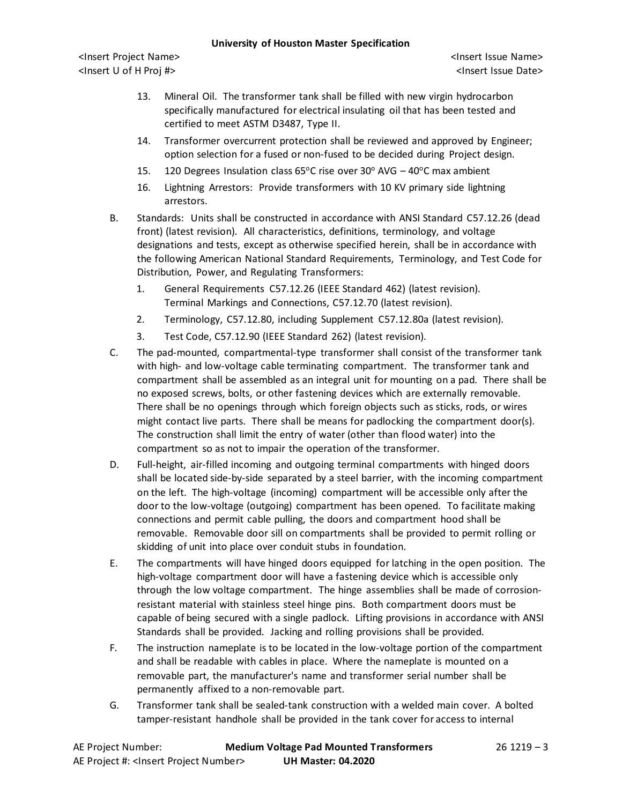## **University of Houston Master Specification**

<Insert Project Name> <Insert Issue Name> <Insert U of H Proj #> <Insert Issue Date>

- 13. Mineral Oil. The transformer tank shall be filled with new virgin hydrocarbon specifically manufactured for electrical insulating oil that has been tested and certified to meet ASTM D3487, Type II.
- 14. Transformer overcurrent protection shall be reviewed and approved by Engineer; option selection for a fused or non-fused to be decided during Project design.
- 15. 120 Degrees Insulation class 65 $\degree$ C rise over 30 $\degree$  AVG 40 $\degree$ C max ambient
- 16. Lightning Arrestors: Provide transformers with 10 KV primary side lightning arrestors.
- B. Standards: Units shall be constructed in accordance with ANSI Standard C57.12.26 (dead front) (latest revision). All characteristics, definitions, terminology, and voltage designations and tests, except as otherwise specified herein, shall be in accordance with the following American National Standard Requirements, Terminology, and Test Code for Distribution, Power, and Regulating Transformers:
	- 1. General Requirements C57.12.26 (IEEE Standard 462) (latest revision). Terminal Markings and Connections, C57.12.70 (latest revision).
	- 2. Terminology, C57.12.80, including Supplement C57.12.80a (latest revision).
	- 3. Test Code, C57.12.90 (IEEE Standard 262) (latest revision).
- C. The pad-mounted, compartmental-type transformer shall consist of the transformer tank with high- and low-voltage cable terminating compartment. The transformer tank and compartment shall be assembled as an integral unit for mounting on a pad. There shall be no exposed screws, bolts, or other fastening devices which are externally removable. There shall be no openings through which foreign objects such as sticks, rods, or wires might contact live parts. There shall be means for padlocking the compartment door(s). The construction shall limit the entry of water (other than flood water) into the compartment so as not to impair the operation of the transformer.
- D. Full-height, air-filled incoming and outgoing terminal compartments with hinged doors shall be located side-by-side separated by a steel barrier, with the incoming compartment on the left. The high-voltage (incoming) compartment will be accessible only after the door to the low-voltage (outgoing) compartment has been opened. To facilitate making connections and permit cable pulling, the doors and compartment hood shall be removable. Removable door sill on compartments shall be provided to permit rolling or skidding of unit into place over conduit stubs in foundation.
- E. The compartments will have hinged doors equipped for latching in the open position. The high-voltage compartment door will have a fastening device which is accessible only through the low voltage compartment. The hinge assemblies shall be made of corrosionresistant material with stainless steel hinge pins. Both compartment doors must be capable of being secured with a single padlock. Lifting provisions in accordance with ANSI Standards shall be provided. Jacking and rolling provisions shall be provided.
- F. The instruction nameplate is to be located in the low-voltage portion of the compartment and shall be readable with cables in place. Where the nameplate is mounted on a removable part, the manufacturer's name and transformer serial number shall be permanently affixed to a non-removable part.
- G. Transformer tank shall be sealed-tank construction with a welded main cover. A bolted tamper-resistant handhole shall be provided in the tank cover for access to internal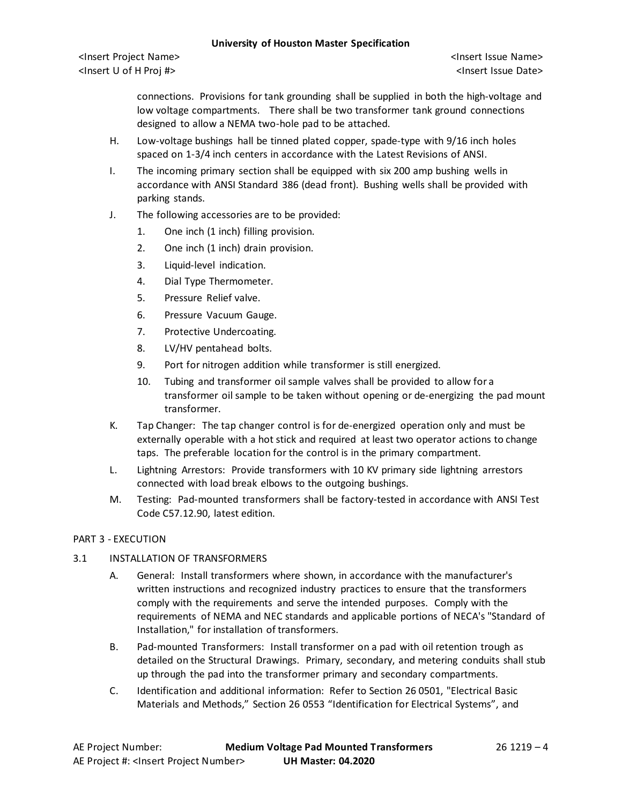#### **University of Houston Master Specification**

<Insert Project Name> <Insert Issue Name> <Insert U of H Proj #> <Insert Issue Date>

connections. Provisions for tank grounding shall be supplied in both the high-voltage and low voltage compartments. There shall be two transformer tank ground connections designed to allow a NEMA two-hole pad to be attached.

- H. Low-voltage bushings hall be tinned plated copper, spade-type with 9/16 inch holes spaced on 1-3/4 inch centers in accordance with the Latest Revisions of ANSI.
- I. The incoming primary section shall be equipped with six 200 amp bushing wells in accordance with ANSI Standard 386 (dead front). Bushing wells shall be provided with parking stands.
- J. The following accessories are to be provided:
	- 1. One inch (1 inch) filling provision.
	- 2. One inch (1 inch) drain provision.
	- 3. Liquid-level indication.
	- 4. Dial Type Thermometer.
	- 5. Pressure Relief valve.
	- 6. Pressure Vacuum Gauge.
	- 7. Protective Undercoating.
	- 8. LV/HV pentahead bolts.
	- 9. Port for nitrogen addition while transformer is still energized.
	- 10. Tubing and transformer oil sample valves shall be provided to allow for a transformer oil sample to be taken without opening or de-energizing the pad mount transformer.
- K. Tap Changer: The tap changer control is for de-energized operation only and must be externally operable with a hot stick and required at least two operator actions to change taps. The preferable location for the control is in the primary compartment.
- L. Lightning Arrestors: Provide transformers with 10 KV primary side lightning arrestors connected with load break elbows to the outgoing bushings.
- M. Testing: Pad-mounted transformers shall be factory-tested in accordance with ANSI Test Code C57.12.90, latest edition.

# PART 3 - EXECUTION

# 3.1 INSTALLATION OF TRANSFORMERS

- A. General: Install transformers where shown, in accordance with the manufacturer's written instructions and recognized industry practices to ensure that the transformers comply with the requirements and serve the intended purposes. Comply with the requirements of NEMA and NEC standards and applicable portions of NECA's "Standard of Installation," for installation of transformers.
- B. Pad-mounted Transformers: Install transformer on a pad with oil retention trough as detailed on the Structural Drawings. Primary, secondary, and metering conduits shall stub up through the pad into the transformer primary and secondary compartments.
- C. Identification and additional information: Refer to Section 26 0501, "Electrical Basic Materials and Methods," Section 26 0553 "Identification for Electrical Systems", and